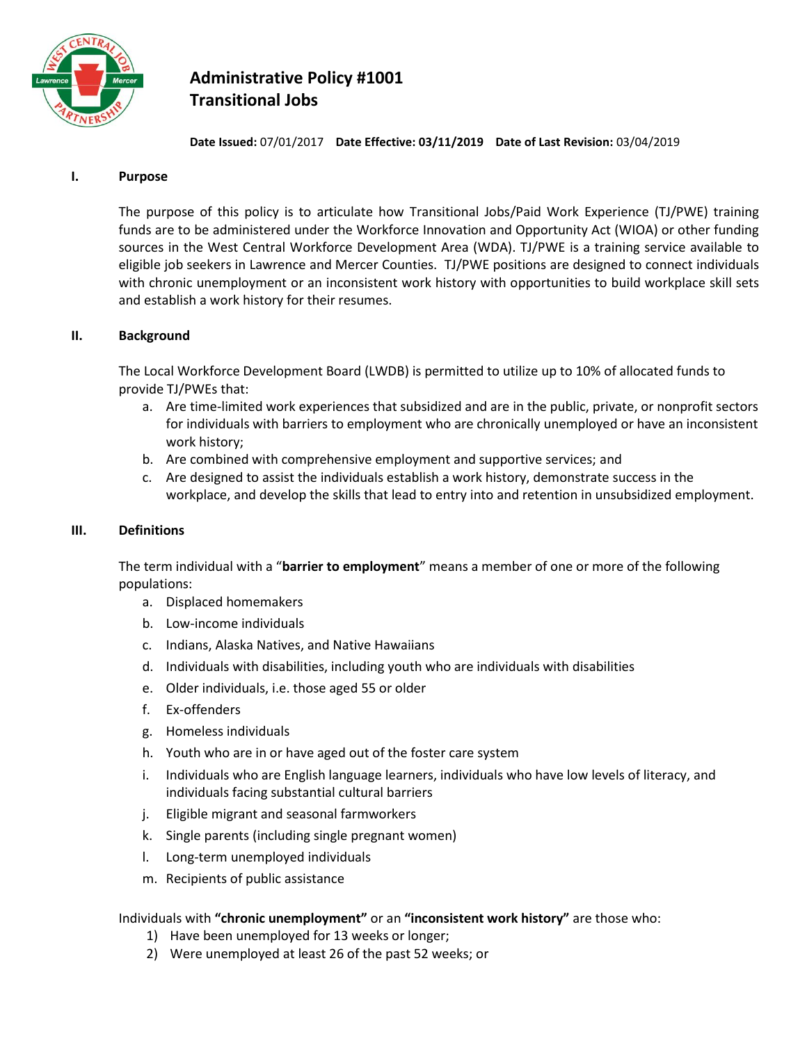

# **Administrative Policy #1001 Transitional Jobs**

**Date Issued:** 07/01/2017 **Date Effective: 03/11/2019 Date of Last Revision:** 03/04/2019

## **I. Purpose**

The purpose of this policy is to articulate how Transitional Jobs/Paid Work Experience (TJ/PWE) training funds are to be administered under the Workforce Innovation and Opportunity Act (WIOA) or other funding sources in the West Central Workforce Development Area (WDA). TJ/PWE is a training service available to eligible job seekers in Lawrence and Mercer Counties. TJ/PWE positions are designed to connect individuals with chronic unemployment or an inconsistent work history with opportunities to build workplace skill sets and establish a work history for their resumes.

## **II. Background**

The Local Workforce Development Board (LWDB) is permitted to utilize up to 10% of allocated funds to provide TJ/PWEs that:

- a. Are time-limited work experiences that subsidized and are in the public, private, or nonprofit sectors for individuals with barriers to employment who are chronically unemployed or have an inconsistent work history;
- b. Are combined with comprehensive employment and supportive services; and
- c. Are designed to assist the individuals establish a work history, demonstrate success in the workplace, and develop the skills that lead to entry into and retention in unsubsidized employment.

## **III. Definitions**

The term individual with a "**barrier to employment**" means a member of one or more of the following populations:

- a. Displaced homemakers
- b. Low-income individuals
- c. Indians, Alaska Natives, and Native Hawaiians
- d. Individuals with disabilities, including youth who are individuals with disabilities
- e. Older individuals, i.e. those aged 55 or older
- f. Ex-offenders
- g. Homeless individuals
- h. Youth who are in or have aged out of the foster care system
- i. Individuals who are English language learners, individuals who have low levels of literacy, and individuals facing substantial cultural barriers
- j. Eligible migrant and seasonal farmworkers
- k. Single parents (including single pregnant women)
- l. Long-term unemployed individuals
- m. Recipients of public assistance

## Individuals with **"chronic unemployment"** or an **"inconsistent work history"** are those who:

- 1) Have been unemployed for 13 weeks or longer;
- 2) Were unemployed at least 26 of the past 52 weeks; or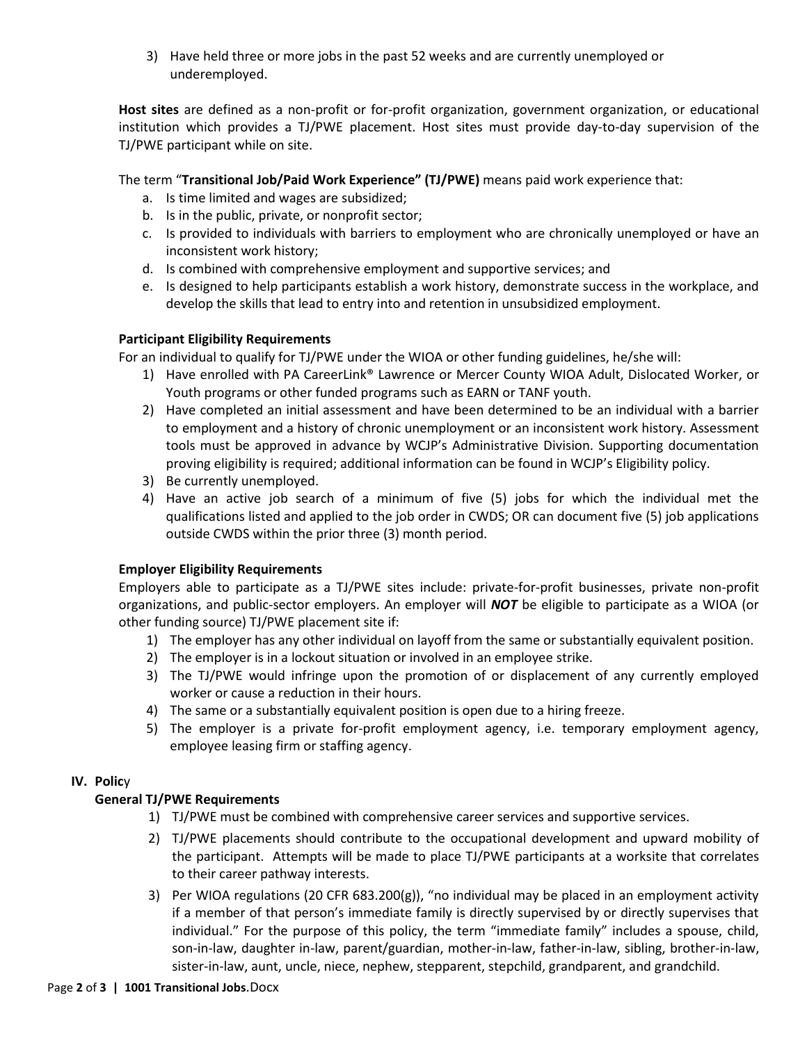3) Have held three or more jobs in the past 52 weeks and are currently unemployed or underemployed.

**Host sites** are defined as a non-profit or for-profit organization, government organization, or educational institution which provides a TJ/PWE placement. Host sites must provide day-to-day supervision of the TJ/PWE participant while on site.

The term "**Transitional Job/Paid Work Experience" (TJ/PWE)** means paid work experience that:

- a. Is time limited and wages are subsidized;
- b. Is in the public, private, or nonprofit sector;
- c. Is provided to individuals with barriers to employment who are chronically unemployed or have an inconsistent work history;
- d. Is combined with comprehensive employment and supportive services; and
- e. Is designed to help participants establish a work history, demonstrate success in the workplace, and develop the skills that lead to entry into and retention in unsubsidized employment.

## **Participant Eligibility Requirements**

For an individual to qualify for TJ/PWE under the WIOA or other funding guidelines, he/she will:

- 1) Have enrolled with PA CareerLink® Lawrence or Mercer County WIOA Adult, Dislocated Worker, or Youth programs or other funded programs such as EARN or TANF youth.
- 2) Have completed an initial assessment and have been determined to be an individual with a barrier to employment and a history of chronic unemployment or an inconsistent work history. Assessment tools must be approved in advance by WCJP's Administrative Division. Supporting documentation proving eligibility is required; additional information can be found in WCJP's Eligibility policy.
- 3) Be currently unemployed.
- 4) Have an active job search of a minimum of five (5) jobs for which the individual met the qualifications listed and applied to the job order in CWDS; OR can document five (5) job applications outside CWDS within the prior three (3) month period.

# **Employer Eligibility Requirements**

Employers able to participate as a TJ/PWE sites include: private-for-profit businesses, private non-profit organizations, and public-sector employers. An employer will *NOT* be eligible to participate as a WIOA (or other funding source) TJ/PWE placement site if:

- 1) The employer has any other individual on layoff from the same or substantially equivalent position.
- 2) The employer is in a lockout situation or involved in an employee strike.
- 3) The TJ/PWE would infringe upon the promotion of or displacement of any currently employed worker or cause a reduction in their hours.
- 4) The same or a substantially equivalent position is open due to a hiring freeze.
- 5) The employer is a private for-profit employment agency, i.e. temporary employment agency, employee leasing firm or staffing agency.

# **IV. Polic**y

# **General TJ/PWE Requirements**

- 1) TJ/PWE must be combined with comprehensive career services and supportive services.
- 2) TJ/PWE placements should contribute to the occupational development and upward mobility of the participant. Attempts will be made to place TJ/PWE participants at a worksite that correlates to their career pathway interests.
- 3) Per WIOA regulations (20 CFR 683.200(g)), "no individual may be placed in an employment activity if a member of that person's immediate family is directly supervised by or directly supervises that individual." For the purpose of this policy, the term "immediate family" includes a spouse, child, son-in-law, daughter in-law, parent/guardian, mother-in-law, father-in-law, sibling, brother-in-law, sister-in-law, aunt, uncle, niece, nephew, stepparent, stepchild, grandparent, and grandchild.